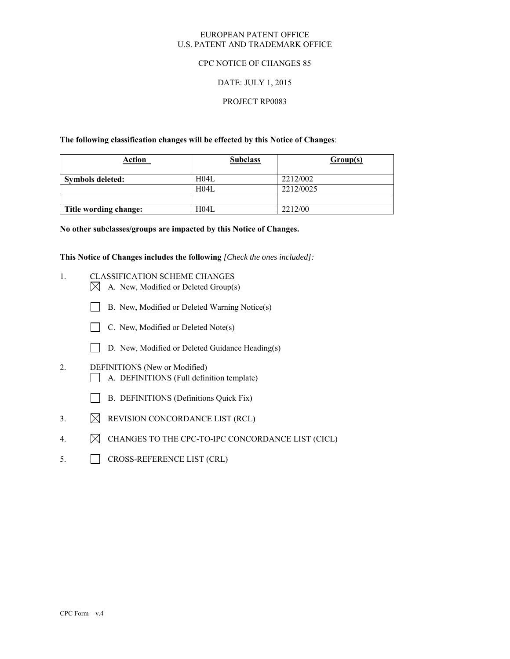## EUROPEAN PATENT OFFICE U.S. PATENT AND TRADEMARK OFFICE

# CPC NOTICE OF CHANGES 85

# DATE: JULY 1, 2015

# PROJECT RP0083

**The following classification changes will be effected by this Notice of Changes**:

| <b>Action</b>         | <b>Subclass</b>   | Group(s)  |
|-----------------------|-------------------|-----------|
| Symbols deleted:      | H04L              | 2212/002  |
|                       | H <sub>04</sub> L | 2212/0025 |
|                       |                   |           |
| Title wording change: | H04L              | 2212/00   |

**No other subclasses/groups are impacted by this Notice of Changes.** 

**This Notice of Changes includes the following** *[Check the ones included]:*

- 1. CLASSIFICATION SCHEME CHANGES
	- $\boxtimes$  A. New, Modified or Deleted Group(s)
	- B. New, Modified or Deleted Warning Notice(s)
	- $\Box$  C. New, Modified or Deleted Note(s)
	- D. New, Modified or Deleted Guidance Heading(s)
- 2. DEFINITIONS (New or Modified) A. DEFINITIONS (Full definition template)
	- B. DEFINITIONS (Definitions Quick Fix)
- 3.  $\boxtimes$  REVISION CONCORDANCE LIST (RCL)
- 4.  $\boxtimes$  CHANGES TO THE CPC-TO-IPC CONCORDANCE LIST (CICL)
- 5. CROSS-REFERENCE LIST (CRL)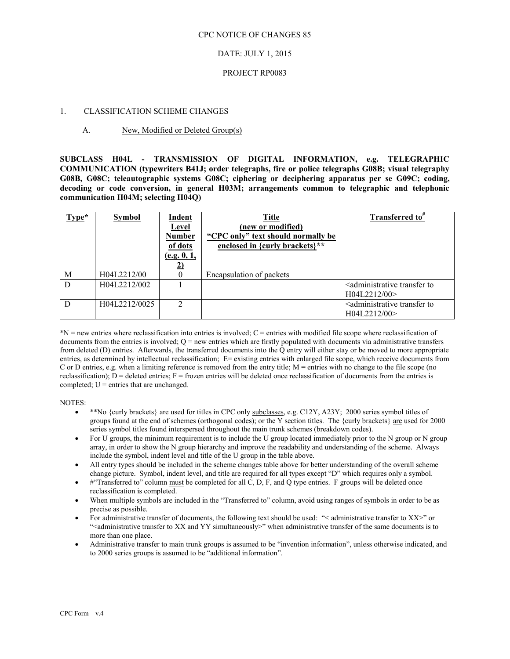#### CPC NOTICE OF CHANGES 85

# DATE: JULY 1, 2015

### PROJECT RP0083

### 1. CLASSIFICATION SCHEME CHANGES

## A. New, Modified or Deleted Group(s)

**SUBCLASS H04L - TRANSMISSION OF DIGITAL INFORMATION, e.g. TELEGRAPHIC COMMUNICATION (typewriters B41J; order telegraphs, fire or police telegraphs G08B; visual telegraphy G08B, G08C; teleautographic systems G08C; ciphering or deciphering apparatus per se G09C; coding, decoding or code conversion, in general H03M; arrangements common to telegraphic and telephonic communication H04M; selecting H04Q)** 

| $Type*$ | <b>Symbol</b> | <b>Indent</b><br><b>Level</b><br><b>Number</b><br>of dots<br>(e.g. 0, 1, | <b>Title</b><br>(new or modified)<br>"CPC only" text should normally be<br>enclosed in {curly brackets}** | Transferred to <sup>#</sup>                                           |
|---------|---------------|--------------------------------------------------------------------------|-----------------------------------------------------------------------------------------------------------|-----------------------------------------------------------------------|
| M       | H04L2212/00   |                                                                          | Encapsulation of packets                                                                                  |                                                                       |
| D       | H04L2212/002  |                                                                          |                                                                                                           | <administrative to<br="" transfer="">H04L2212/00&gt;</administrative> |
| D       | H04L2212/0025 | $\mathcal{D}_{\mathcal{L}}$                                              |                                                                                                           | <administrative to<br="" transfer="">H04L2212/00&gt;</administrative> |

\*N = new entries where reclassification into entries is involved; C = entries with modified file scope where reclassification of documents from the entries is involved;  $Q = new$  entries which are firstly populated with documents via administrative transfers from deleted (D) entries. Afterwards, the transferred documents into the Q entry will either stay or be moved to more appropriate entries, as determined by intellectual reclassification; E= existing entries with enlarged file scope, which receive documents from C or D entries, e.g. when a limiting reference is removed from the entry title; M = entries with no change to the file scope (no reclassification);  $D =$  deleted entries;  $F =$  frozen entries will be deleted once reclassification of documents from the entries is completed;  $U =$  entries that are unchanged.

NOTES:

- \*\*No {curly brackets} are used for titles in CPC only subclasses, e.g. C12Y, A23Y; 2000 series symbol titles of groups found at the end of schemes (orthogonal codes); or the Y section titles. The {curly brackets} are used for 2000 series symbol titles found interspersed throughout the main trunk schemes (breakdown codes).
- For U groups, the minimum requirement is to include the U group located immediately prior to the N group or N group array, in order to show the N group hierarchy and improve the readability and understanding of the scheme. Always include the symbol, indent level and title of the U group in the table above.
- All entry types should be included in the scheme changes table above for better understanding of the overall scheme change picture. Symbol, indent level, and title are required for all types except "D" which requires only a symbol.
- $\bullet$  #"Transferred to" column must be completed for all C, D, F, and Q type entries. F groups will be deleted once reclassification is completed.
- When multiple symbols are included in the "Transferred to" column, avoid using ranges of symbols in order to be as precise as possible.
- For administrative transfer of documents, the following text should be used: "< administrative transfer to XX>" or ">
"<administrative transfer to XX and YY simultaneously>" when administrative transfer of the same documents is to more than one place.
- Administrative transfer to main trunk groups is assumed to be "invention information", unless otherwise indicated, and to 2000 series groups is assumed to be "additional information".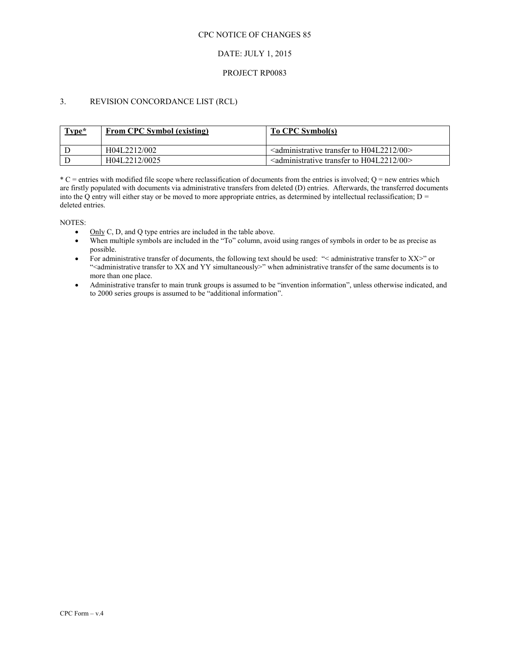## CPC NOTICE OF CHANGES 85

# DATE: JULY 1, 2015

### PROJECT RP0083

# 3. REVISION CONCORDANCE LIST (RCL)

| Type* | <b>From CPC Symbol (existing)</b> | To CPC Symbol(s)                                                                            |
|-------|-----------------------------------|---------------------------------------------------------------------------------------------|
|       | H04L2212/002                      | $\alpha$ <administrative 00="" <math="" h04l2212="" to="" transfer="">&gt;</administrative> |
|       | H04L2212/0025                     | $\alpha$ <administrative 00<="" h04l2212="" td="" to="" transfer=""></administrative>       |

 $*C$  = entries with modified file scope where reclassification of documents from the entries is involved; Q = new entries which are firstly populated with documents via administrative transfers from deleted (D) entries. Afterwards, the transferred documents into the Q entry will either stay or be moved to more appropriate entries, as determined by intellectual reclassification;  $D =$ deleted entries.

NOTES:

- $\bullet$  Only C, D, and Q type entries are included in the table above.
- When multiple symbols are included in the "To" column, avoid using ranges of symbols in order to be as precise as possible.
- For administrative transfer of documents, the following text should be used: "< administrative transfer to XX>" or ">
"<administrative transfer to XX and YY simultaneously>" when administrative transfer of the same documents is to more than one place.
- Administrative transfer to main trunk groups is assumed to be "invention information", unless otherwise indicated, and to 2000 series groups is assumed to be "additional information".